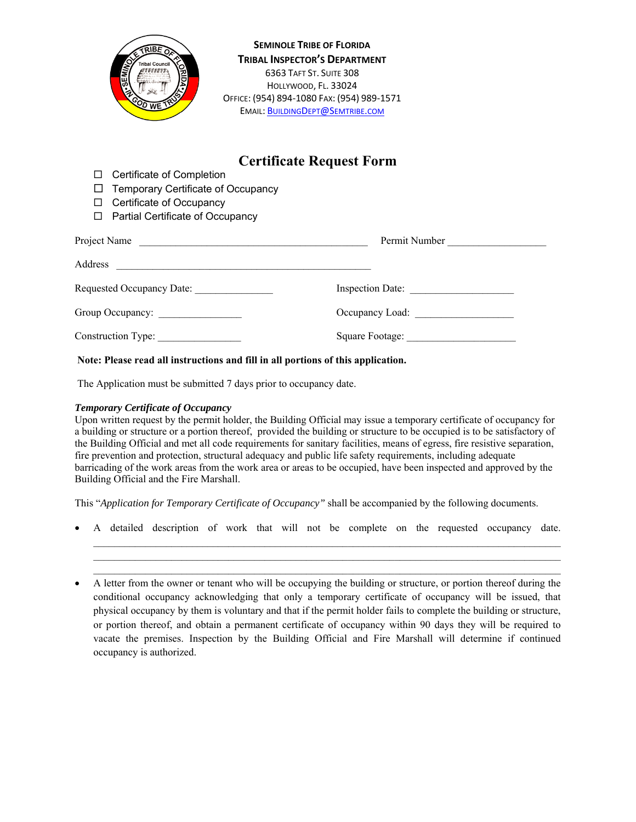

**SEMINOLE TRIBE OF FLORIDA TRIBAL INSPECTOR'S DEPARTMENT** 6363 TAFT ST. SUITE 308 HOLLYWOOD, FL. 33024 OFFICE: (954) 894‐1080 FAX: (954) 989‐1571 EMAIL: BUILDINGDEPT@SEMTRIBE.COM

## **Certificate Request Form**

- □ Certificate of Completion
- $\Box$  Temporary Certificate of Occupancy
- $\Box$  Certificate of Occupancy
- □ Partial Certificate of Occupancy

| Project Name<br><u> 1989 - Johann Barn, fransk politik (f. 1989)</u> | Permit Number    |
|----------------------------------------------------------------------|------------------|
| Address                                                              |                  |
| Requested Occupancy Date:                                            | Inspection Date: |
| Group Occupancy:                                                     | Occupancy Load:  |
| Construction Type:                                                   |                  |

## **Note: Please read all instructions and fill in all portions of this application.**

The Application must be submitted 7 days prior to occupancy date.

## *Temporary Certificate of Occupancy*

Upon written request by the permit holder, the Building Official may issue a temporary certificate of occupancy for a building or structure or a portion thereof, provided the building or structure to be occupied is to be satisfactory of the Building Official and met all code requirements for sanitary facilities, means of egress, fire resistive separation, fire prevention and protection, structural adequacy and public life safety requirements, including adequate barricading of the work areas from the work area or areas to be occupied, have been inspected and approved by the Building Official and the Fire Marshall.

This "*Application for Temporary Certificate of Occupancy"* shall be accompanied by the following documents.

A detailed description of work that will not be complete on the requested occupancy date.

 $\mathcal{L}_\mathcal{L} = \{ \mathcal{L}_\mathcal{L} = \{ \mathcal{L}_\mathcal{L} = \{ \mathcal{L}_\mathcal{L} = \{ \mathcal{L}_\mathcal{L} = \{ \mathcal{L}_\mathcal{L} = \{ \mathcal{L}_\mathcal{L} = \{ \mathcal{L}_\mathcal{L} = \{ \mathcal{L}_\mathcal{L} = \{ \mathcal{L}_\mathcal{L} = \{ \mathcal{L}_\mathcal{L} = \{ \mathcal{L}_\mathcal{L} = \{ \mathcal{L}_\mathcal{L} = \{ \mathcal{L}_\mathcal{L} = \{ \mathcal{L}_\mathcal{$ 

 $\mathcal{L}_\text{max}$ 

 A letter from the owner or tenant who will be occupying the building or structure, or portion thereof during the conditional occupancy acknowledging that only a temporary certificate of occupancy will be issued, that physical occupancy by them is voluntary and that if the permit holder fails to complete the building or structure, or portion thereof, and obtain a permanent certificate of occupancy within 90 days they will be required to vacate the premises. Inspection by the Building Official and Fire Marshall will determine if continued occupancy is authorized.